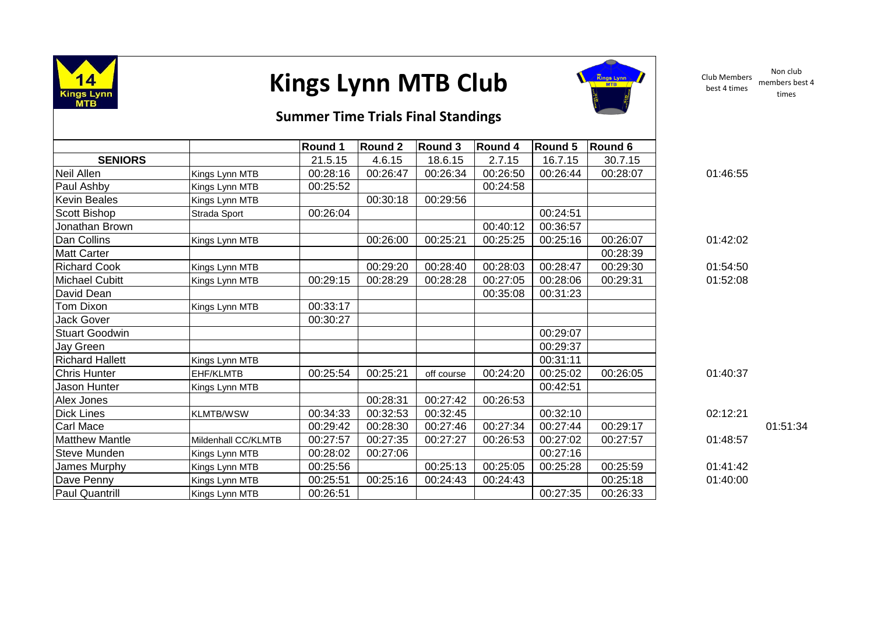

## **Kings Lynn MTB Club**



Club Members best 4 times Non club members best 4 times

## **Summer Time Trials Final Standings**

|                        |                     | Round 1  | <b>Round 2</b> | Round 3    | <b>Round 4</b> | Round 5  | Round 6  |          |          |
|------------------------|---------------------|----------|----------------|------------|----------------|----------|----------|----------|----------|
| <b>SENIORS</b>         |                     | 21.5.15  | 4.6.15         | 18.6.15    | 2.7.15         | 16.7.15  | 30.7.15  |          |          |
| Neil Allen             | Kings Lynn MTB      | 00:28:16 | 00:26:47       | 00:26:34   | 00:26:50       | 00:26:44 | 00:28:07 | 01:46:55 |          |
| <b>Paul Ashby</b>      | Kings Lynn MTB      | 00:25:52 |                |            | 00:24:58       |          |          |          |          |
| <b>Kevin Beales</b>    | Kings Lynn MTB      |          | 00:30:18       | 00:29:56   |                |          |          |          |          |
| Scott Bishop           | Strada Sport        | 00:26:04 |                |            |                | 00:24:51 |          |          |          |
| Jonathan Brown         |                     |          |                |            | 00:40:12       | 00:36:57 |          |          |          |
| Dan Collins            | Kings Lynn MTB      |          | 00:26:00       | 00:25:21   | 00:25:25       | 00:25:16 | 00:26:07 | 01:42:02 |          |
| <b>Matt Carter</b>     |                     |          |                |            |                |          | 00:28:39 |          |          |
| <b>Richard Cook</b>    | Kings Lynn MTB      |          | 00:29:20       | 00:28:40   | 00:28:03       | 00:28:47 | 00:29:30 | 01:54:50 |          |
| Michael Cubitt         | Kings Lynn MTB      | 00:29:15 | 00:28:29       | 00:28:28   | 00:27:05       | 00:28:06 | 00:29:31 | 01:52:08 |          |
| David Dean             |                     |          |                |            | 00:35:08       | 00:31:23 |          |          |          |
| Tom Dixon              | Kings Lynn MTB      | 00:33:17 |                |            |                |          |          |          |          |
| Jack Gover             |                     | 00:30:27 |                |            |                |          |          |          |          |
| <b>Stuart Goodwin</b>  |                     |          |                |            |                | 00:29:07 |          |          |          |
| Jay Green              |                     |          |                |            |                | 00:29:37 |          |          |          |
| <b>Richard Hallett</b> | Kings Lynn MTB      |          |                |            |                | 00:31:11 |          |          |          |
| <b>Chris Hunter</b>    | EHF/KLMTB           | 00:25:54 | 00:25:21       | off course | 00:24:20       | 00:25:02 | 00:26:05 | 01:40:37 |          |
| Jason Hunter           | Kings Lynn MTB      |          |                |            |                | 00:42:51 |          |          |          |
| Alex Jones             |                     |          | 00:28:31       | 00:27:42   | 00:26:53       |          |          |          |          |
| Dick Lines             | <b>KLMTB/WSW</b>    | 00:34:33 | 00:32:53       | 00:32:45   |                | 00:32:10 |          | 02:12:21 |          |
| Carl Mace              |                     | 00:29:42 | 00:28:30       | 00:27:46   | 00:27:34       | 00:27:44 | 00:29:17 |          | 01:51:34 |
| <b>Matthew Mantle</b>  | Mildenhall CC/KLMTB | 00:27:57 | 00:27:35       | 00:27:27   | 00:26:53       | 00:27:02 | 00:27:57 | 01:48:57 |          |
| <b>Steve Munden</b>    | Kings Lynn MTB      | 00:28:02 | 00:27:06       |            |                | 00:27:16 |          |          |          |
| James Murphy           | Kings Lynn MTB      | 00:25:56 |                | 00:25:13   | 00:25:05       | 00:25:28 | 00:25:59 | 01:41:42 |          |
| Dave Penny             | Kings Lynn MTB      | 00:25:51 | 00:25:16       | 00:24:43   | 00:24:43       |          | 00:25:18 | 01:40:00 |          |
| <b>Paul Quantrill</b>  | Kings Lynn MTB      | 00:26:51 |                |            |                | 00:27:35 | 00:26:33 |          |          |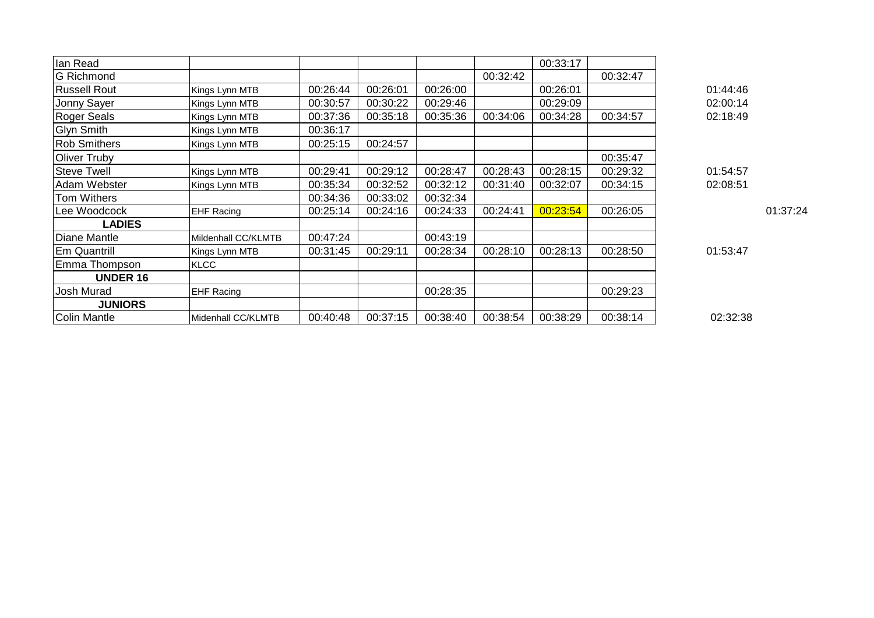| lan Read            |                     |          |          |          |          | 00:33:17 |          |          |          |
|---------------------|---------------------|----------|----------|----------|----------|----------|----------|----------|----------|
| <b>G</b> Richmond   |                     |          |          |          | 00:32:42 |          | 00:32:47 |          |          |
| <b>Russell Rout</b> | Kings Lynn MTB      | 00:26:44 | 00:26:01 | 00:26:00 |          | 00:26:01 |          | 01:44:46 |          |
| Jonny Sayer         | Kings Lynn MTB      | 00:30:57 | 00:30:22 | 00:29:46 |          | 00:29:09 |          | 02:00:14 |          |
| <b>Roger Seals</b>  | Kings Lynn MTB      | 00:37:36 | 00:35:18 | 00:35:36 | 00:34:06 | 00:34:28 | 00:34:57 | 02:18:49 |          |
| <b>Glyn Smith</b>   | Kings Lynn MTB      | 00:36:17 |          |          |          |          |          |          |          |
| <b>Rob Smithers</b> | Kings Lynn MTB      | 00:25:15 | 00:24:57 |          |          |          |          |          |          |
| Oliver Truby        |                     |          |          |          |          |          | 00:35:47 |          |          |
| <b>Steve Twell</b>  | Kings Lynn MTB      | 00:29:41 | 00:29:12 | 00:28:47 | 00:28:43 | 00:28:15 | 00:29:32 | 01:54:57 |          |
| Adam Webster        | Kings Lynn MTB      | 00:35:34 | 00:32:52 | 00:32:12 | 00:31:40 | 00:32:07 | 00:34:15 | 02:08:51 |          |
| Tom Withers         |                     | 00:34:36 | 00:33:02 | 00:32:34 |          |          |          |          |          |
| Lee Woodcock        | <b>EHF Racing</b>   | 00:25:14 | 00:24:16 | 00:24:33 | 00:24:41 | 00:23:54 | 00:26:05 |          | 01:37:24 |
| <b>LADIES</b>       |                     |          |          |          |          |          |          |          |          |
| Diane Mantle        | Mildenhall CC/KLMTB | 00:47:24 |          | 00:43:19 |          |          |          |          |          |
| Em Quantrill        | Kings Lynn MTB      | 00:31:45 | 00:29:11 | 00:28:34 | 00:28:10 | 00:28:13 | 00:28:50 | 01:53:47 |          |
| Emma Thompson       | <b>KLCC</b>         |          |          |          |          |          |          |          |          |
| <b>UNDER 16</b>     |                     |          |          |          |          |          |          |          |          |
| Josh Murad          | <b>EHF Racing</b>   |          |          | 00:28:35 |          |          | 00:29:23 |          |          |
| <b>JUNIORS</b>      |                     |          |          |          |          |          |          |          |          |
| Colin Mantle        | Midenhall CC/KLMTB  | 00:40:48 | 00:37:15 | 00:38:40 | 00:38:54 | 00:38:29 | 00:38:14 | 02:32:38 |          |
|                     |                     |          |          |          |          |          |          |          |          |